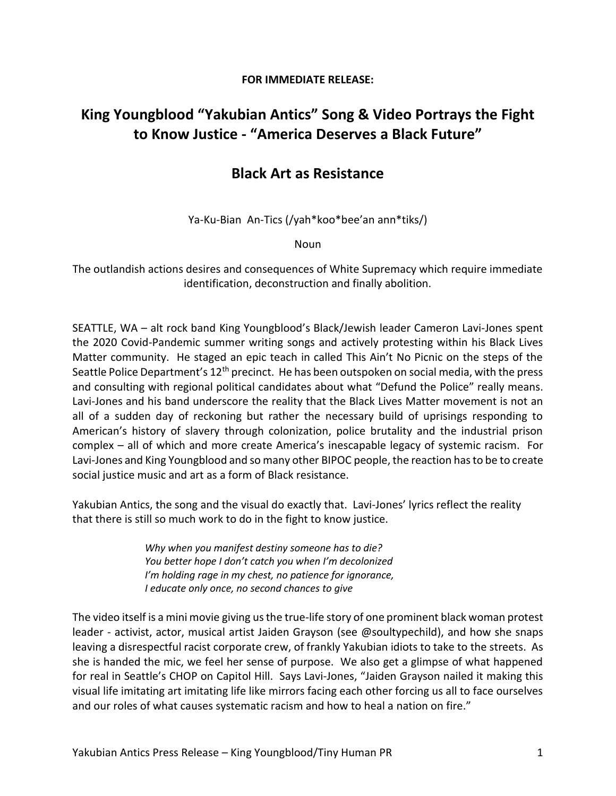#### **FOR IMMEDIATE RELEASE:**

# **King Youngblood "Yakubian Antics" Song & Video Portrays the Fight to Know Justice - "America Deserves a Black Future"**

## **Black Art as Resistance**

Ya-Ku-Bian An-Tics (/yah\*koo\*bee'an ann\*tiks/)

**Noun** 

The outlandish actions desires and consequences of White Supremacy which require immediate identification, deconstruction and finally abolition.

SEATTLE, WA – alt rock band King Youngblood's Black/Jewish leader Cameron Lavi-Jones spent the 2020 Covid-Pandemic summer writing songs and actively protesting within his Black Lives Matter community. He staged an epic teach in called This Ain't No Picnic on the steps of the Seattle Police Department's 12<sup>th</sup> precinct. He has been outspoken on social media, with the press and consulting with regional political candidates about what "Defund the Police" really means. Lavi-Jones and his band underscore the reality that the Black Lives Matter movement is not an all of a sudden day of reckoning but rather the necessary build of uprisings responding to American's history of slavery through colonization, police brutality and the industrial prison complex – all of which and more create America's inescapable legacy of systemic racism. For Lavi-Jones and King Youngblood and so many other BIPOC people, the reaction has to be to create social justice music and art as a form of Black resistance.

Yakubian Antics, the song and the visual do exactly that. Lavi-Jones' lyrics reflect the reality that there is still so much work to do in the fight to know justice.

> *Why when you manifest destiny someone has to die? You better hope I don't catch you when I'm decolonized I'm holding rage in my chest, no patience for ignorance, I educate only once, no second chances to give*

The video itself is a mini movie giving us the true-life story of one prominent black woman protest leader - activist, actor, musical artist Jaiden Grayson (see @soultypechild), and how she snaps leaving a disrespectful racist corporate crew, of frankly Yakubian idiots to take to the streets. As she is handed the mic, we feel her sense of purpose. We also get a glimpse of what happened for real in Seattle's CHOP on Capitol Hill. Says Lavi-Jones, "Jaiden Grayson nailed it making this visual life imitating art imitating life like mirrors facing each other forcing us all to face ourselves and our roles of what causes systematic racism and how to heal a nation on fire."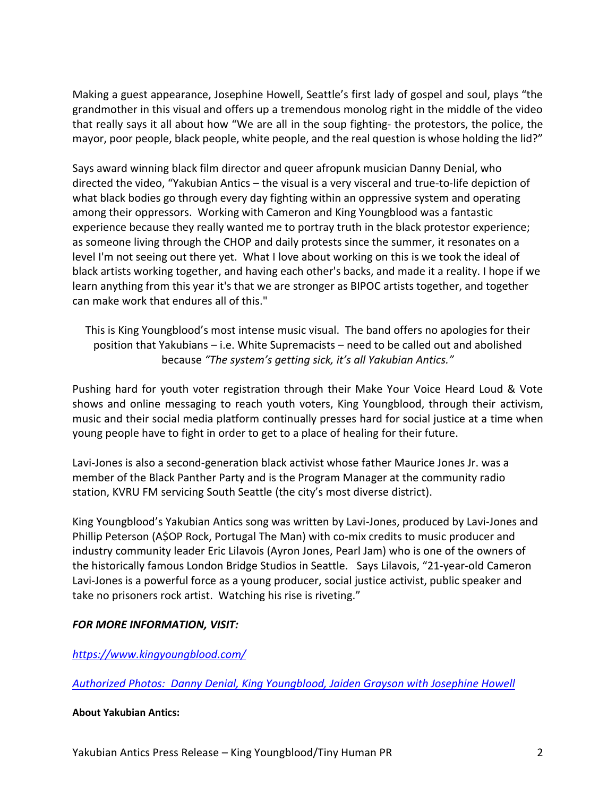Making a guest appearance, Josephine Howell, Seattle's first lady of gospel and soul, plays "the grandmother in this visual and offers up a tremendous monolog right in the middle of the video that really says it all about how "We are all in the soup fighting- the protestors, the police, the mayor, poor people, black people, white people, and the real question is whose holding the lid?"

Says award winning black film director and queer afropunk musician Danny Denial, who directed the video, "Yakubian Antics – the visual is a very visceral and true-to-life depiction of what black bodies go through every day fighting within an oppressive system and operating among their oppressors. Working with Cameron and King Youngblood was a fantastic experience because they really wanted me to portray truth in the black protestor experience; as someone living through the CHOP and daily protests since the summer, it resonates on a level I'm not seeing out there yet. What I love about working on this is we took the ideal of black artists working together, and having each other's backs, and made it a reality. I hope if we learn anything from this year it's that we are stronger as BIPOC artists together, and together can make work that endures all of this."

This is King Youngblood's most intense music visual. The band offers no apologies for their position that Yakubians – i.e. White Supremacists – need to be called out and abolished because *"The system's getting sick, it's all Yakubian Antics."*

Pushing hard for youth voter registration through their Make Your Voice Heard Loud & Vote shows and online messaging to reach youth voters, King Youngblood, through their activism, music and their social media platform continually presses hard for social justice at a time when young people have to fight in order to get to a place of healing for their future.

Lavi-Jones is also a second-generation black activist whose father Maurice Jones Jr. was a member of the Black Panther Party and is the Program Manager at the community radio station, KVRU FM servicing South Seattle (the city's most diverse district).

King Youngblood's Yakubian Antics song was written by Lavi-Jones, produced by Lavi-Jones and Phillip Peterson (A\$OP Rock, Portugal The Man) with co-mix credits to music producer and industry community leader Eric Lilavois (Ayron Jones, Pearl Jam) who is one of the owners of the historically famous London Bridge Studios in Seattle. Says Lilavois, "21-year-old Cameron Lavi-Jones is a powerful force as a young producer, social justice activist, public speaker and take no prisoners rock artist. Watching his rise is riveting."

### *FOR MORE INFORMATION, VISIT:*

### *<https://www.kingyoungblood.com/>*

*Authorized Photos: Danny Denial, King Youngblood, Jaiden Grayson with Josephine Howell*

#### **About Yakubian Antics:**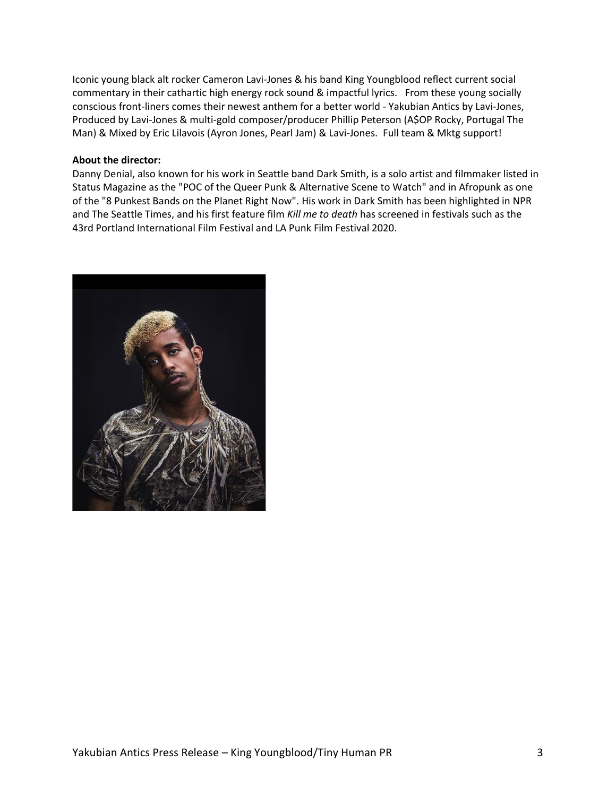Iconic young black alt rocker Cameron Lavi-Jones & his band King Youngblood reflect current social commentary in their cathartic high energy rock sound & impactful lyrics. From these young socially conscious front-liners comes their newest anthem for a better world - Yakubian Antics by Lavi-Jones, Produced by Lavi-Jones & multi-gold composer/producer Phillip Peterson (A\$OP Rocky, Portugal The Man) & Mixed by Eric Lilavois (Ayron Jones, Pearl Jam) & Lavi-Jones. Full team & Mktg support!

#### **About the director:**

Danny Denial, also known for his work in Seattle band Dark Smith, is a solo artist and filmmaker listed in Status Magazine as the "POC of the Queer Punk & Alternative Scene to Watch" and in Afropunk as one of the "8 Punkest Bands on the Planet Right Now". His work in Dark Smith has been highlighted in NPR and The Seattle Times, and his first feature film *Kill me to death* has screened in festivals such as the 43rd Portland International Film Festival and LA Punk Film Festival 2020.

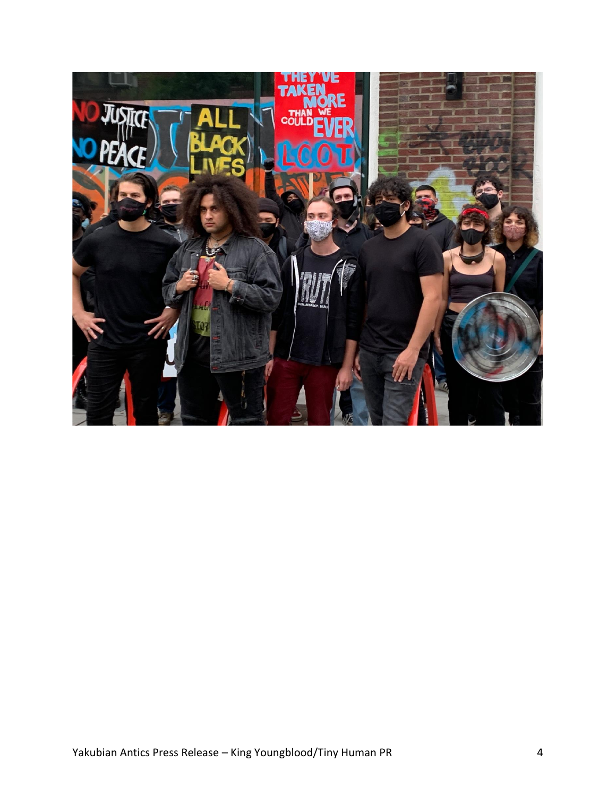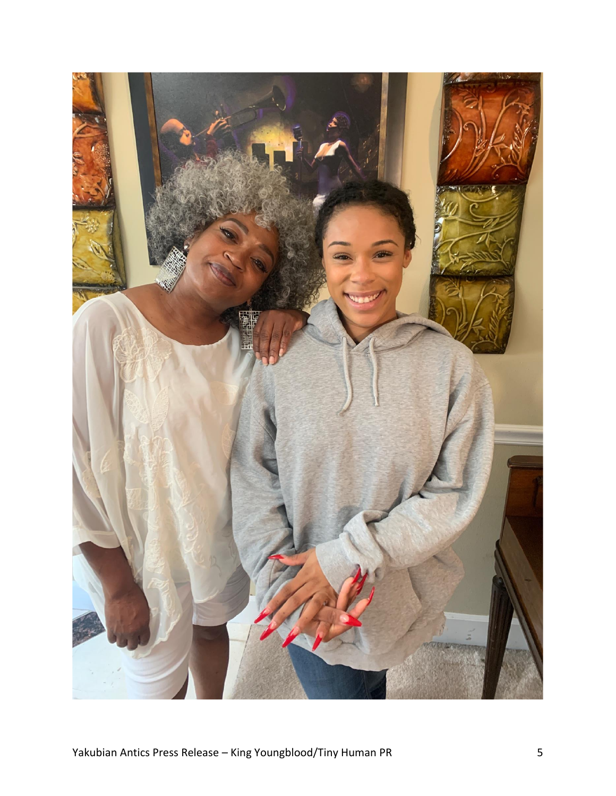